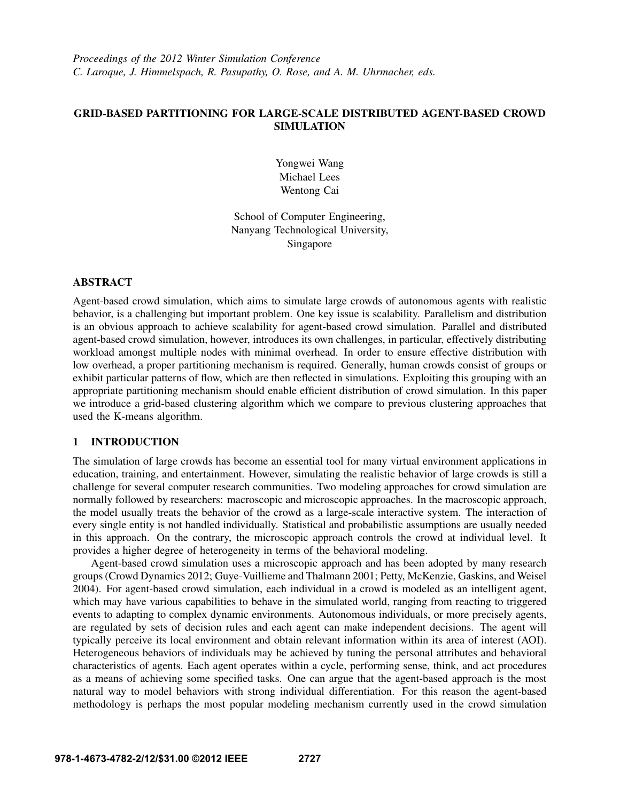# GRID-BASED PARTITIONING FOR LARGE-SCALE DISTRIBUTED AGENT-BASED CROWD SIMULATION

Yongwei Wang Michael Lees Wentong Cai

School of Computer Engineering, Nanyang Technological University, Singapore

## ABSTRACT

Agent-based crowd simulation, which aims to simulate large crowds of autonomous agents with realistic behavior, is a challenging but important problem. One key issue is scalability. Parallelism and distribution is an obvious approach to achieve scalability for agent-based crowd simulation. Parallel and distributed agent-based crowd simulation, however, introduces its own challenges, in particular, effectively distributing workload amongst multiple nodes with minimal overhead. In order to ensure effective distribution with low overhead, a proper partitioning mechanism is required. Generally, human crowds consist of groups or exhibit particular patterns of flow, which are then reflected in simulations. Exploiting this grouping with an appropriate partitioning mechanism should enable efficient distribution of crowd simulation. In this paper we introduce a grid-based clustering algorithm which we compare to previous clustering approaches that used the K-means algorithm.

# 1 INTRODUCTION

The simulation of large crowds has become an essential tool for many virtual environment applications in education, training, and entertainment. However, simulating the realistic behavior of large crowds is still a challenge for several computer research communities. Two modeling approaches for crowd simulation are normally followed by researchers: macroscopic and microscopic approaches. In the macroscopic approach, the model usually treats the behavior of the crowd as a large-scale interactive system. The interaction of every single entity is not handled individually. Statistical and probabilistic assumptions are usually needed in this approach. On the contrary, the microscopic approach controls the crowd at individual level. It provides a higher degree of heterogeneity in terms of the behavioral modeling.

Agent-based crowd simulation uses a microscopic approach and has been adopted by many research groups (Crowd Dynamics 2012; Guye-Vuillieme and Thalmann 2001; Petty, McKenzie, Gaskins, and Weisel 2004). For agent-based crowd simulation, each individual in a crowd is modeled as an intelligent agent, which may have various capabilities to behave in the simulated world, ranging from reacting to triggered events to adapting to complex dynamic environments. Autonomous individuals, or more precisely agents, are regulated by sets of decision rules and each agent can make independent decisions. The agent will typically perceive its local environment and obtain relevant information within its area of interest (AOI). Heterogeneous behaviors of individuals may be achieved by tuning the personal attributes and behavioral characteristics of agents. Each agent operates within a cycle, performing sense, think, and act procedures as a means of achieving some specified tasks. One can argue that the agent-based approach is the most natural way to model behaviors with strong individual differentiation. For this reason the agent-based methodology is perhaps the most popular modeling mechanism currently used in the crowd simulation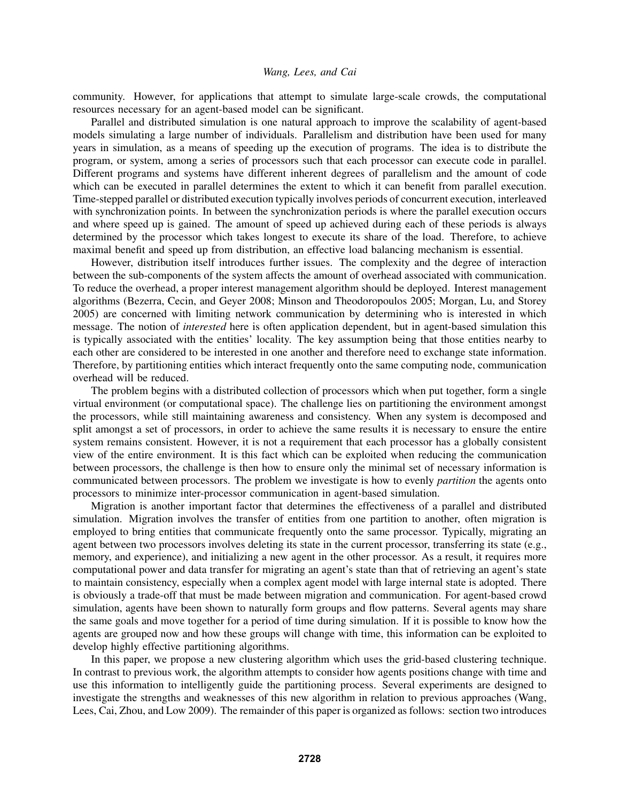community. However, for applications that attempt to simulate large-scale crowds, the computational resources necessary for an agent-based model can be significant.

Parallel and distributed simulation is one natural approach to improve the scalability of agent-based models simulating a large number of individuals. Parallelism and distribution have been used for many years in simulation, as a means of speeding up the execution of programs. The idea is to distribute the program, or system, among a series of processors such that each processor can execute code in parallel. Different programs and systems have different inherent degrees of parallelism and the amount of code which can be executed in parallel determines the extent to which it can benefit from parallel execution. Time-stepped parallel or distributed execution typically involves periods of concurrent execution, interleaved with synchronization points. In between the synchronization periods is where the parallel execution occurs and where speed up is gained. The amount of speed up achieved during each of these periods is always determined by the processor which takes longest to execute its share of the load. Therefore, to achieve maximal benefit and speed up from distribution, an effective load balancing mechanism is essential.

However, distribution itself introduces further issues. The complexity and the degree of interaction between the sub-components of the system affects the amount of overhead associated with communication. To reduce the overhead, a proper interest management algorithm should be deployed. Interest management algorithms (Bezerra, Cecin, and Geyer 2008; Minson and Theodoropoulos 2005; Morgan, Lu, and Storey 2005) are concerned with limiting network communication by determining who is interested in which message. The notion of *interested* here is often application dependent, but in agent-based simulation this is typically associated with the entities' locality. The key assumption being that those entities nearby to each other are considered to be interested in one another and therefore need to exchange state information. Therefore, by partitioning entities which interact frequently onto the same computing node, communication overhead will be reduced.

The problem begins with a distributed collection of processors which when put together, form a single virtual environment (or computational space). The challenge lies on partitioning the environment amongst the processors, while still maintaining awareness and consistency. When any system is decomposed and split amongst a set of processors, in order to achieve the same results it is necessary to ensure the entire system remains consistent. However, it is not a requirement that each processor has a globally consistent view of the entire environment. It is this fact which can be exploited when reducing the communication between processors, the challenge is then how to ensure only the minimal set of necessary information is communicated between processors. The problem we investigate is how to evenly *partition* the agents onto processors to minimize inter-processor communication in agent-based simulation.

Migration is another important factor that determines the effectiveness of a parallel and distributed simulation. Migration involves the transfer of entities from one partition to another, often migration is employed to bring entities that communicate frequently onto the same processor. Typically, migrating an agent between two processors involves deleting its state in the current processor, transferring its state (e.g., memory, and experience), and initializing a new agent in the other processor. As a result, it requires more computational power and data transfer for migrating an agent's state than that of retrieving an agent's state to maintain consistency, especially when a complex agent model with large internal state is adopted. There is obviously a trade-off that must be made between migration and communication. For agent-based crowd simulation, agents have been shown to naturally form groups and flow patterns. Several agents may share the same goals and move together for a period of time during simulation. If it is possible to know how the agents are grouped now and how these groups will change with time, this information can be exploited to develop highly effective partitioning algorithms.

In this paper, we propose a new clustering algorithm which uses the grid-based clustering technique. In contrast to previous work, the algorithm attempts to consider how agents positions change with time and use this information to intelligently guide the partitioning process. Several experiments are designed to investigate the strengths and weaknesses of this new algorithm in relation to previous approaches (Wang, Lees, Cai, Zhou, and Low 2009). The remainder of this paper is organized as follows: section two introduces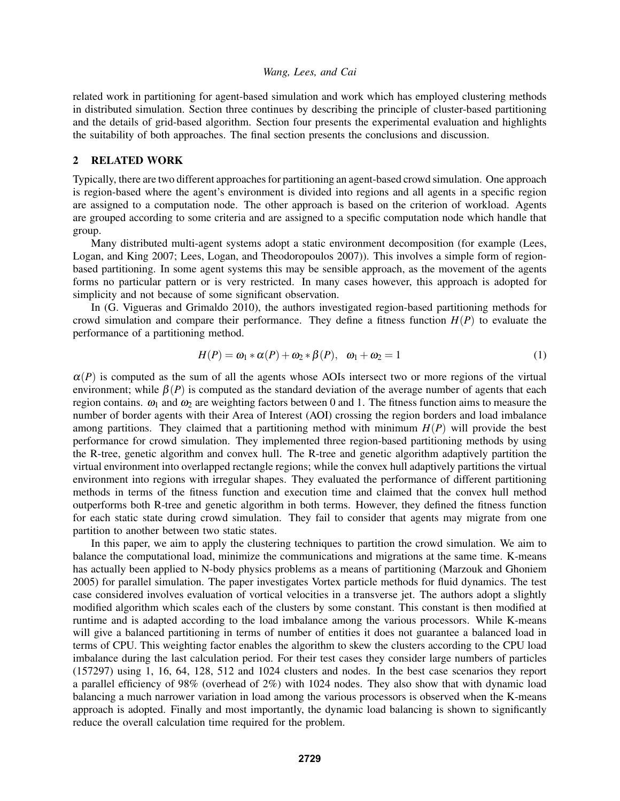related work in partitioning for agent-based simulation and work which has employed clustering methods in distributed simulation. Section three continues by describing the principle of cluster-based partitioning and the details of grid-based algorithm. Section four presents the experimental evaluation and highlights the suitability of both approaches. The final section presents the conclusions and discussion.

#### 2 RELATED WORK

Typically, there are two different approaches for partitioning an agent-based crowd simulation. One approach is region-based where the agent's environment is divided into regions and all agents in a specific region are assigned to a computation node. The other approach is based on the criterion of workload. Agents are grouped according to some criteria and are assigned to a specific computation node which handle that group.

Many distributed multi-agent systems adopt a static environment decomposition (for example (Lees, Logan, and King 2007; Lees, Logan, and Theodoropoulos 2007)). This involves a simple form of regionbased partitioning. In some agent systems this may be sensible approach, as the movement of the agents forms no particular pattern or is very restricted. In many cases however, this approach is adopted for simplicity and not because of some significant observation.

In (G. Vigueras and Grimaldo 2010), the authors investigated region-based partitioning methods for crowd simulation and compare their performance. They define a fitness function  $H(P)$  to evaluate the performance of a partitioning method.

$$
H(P) = \omega_1 * \alpha(P) + \omega_2 * \beta(P), \quad \omega_1 + \omega_2 = 1 \tag{1}
$$

 $\alpha(P)$  is computed as the sum of all the agents whose AOIs intersect two or more regions of the virtual environment; while  $\beta(P)$  is computed as the standard deviation of the average number of agents that each region contains.  $\omega_1$  and  $\omega_2$  are weighting factors between 0 and 1. The fitness function aims to measure the number of border agents with their Area of Interest (AOI) crossing the region borders and load imbalance among partitions. They claimed that a partitioning method with minimum  $H(P)$  will provide the best performance for crowd simulation. They implemented three region-based partitioning methods by using the R-tree, genetic algorithm and convex hull. The R-tree and genetic algorithm adaptively partition the virtual environment into overlapped rectangle regions; while the convex hull adaptively partitions the virtual environment into regions with irregular shapes. They evaluated the performance of different partitioning methods in terms of the fitness function and execution time and claimed that the convex hull method outperforms both R-tree and genetic algorithm in both terms. However, they defined the fitness function for each static state during crowd simulation. They fail to consider that agents may migrate from one partition to another between two static states.

In this paper, we aim to apply the clustering techniques to partition the crowd simulation. We aim to balance the computational load, minimize the communications and migrations at the same time. K-means has actually been applied to N-body physics problems as a means of partitioning (Marzouk and Ghoniem 2005) for parallel simulation. The paper investigates Vortex particle methods for fluid dynamics. The test case considered involves evaluation of vortical velocities in a transverse jet. The authors adopt a slightly modified algorithm which scales each of the clusters by some constant. This constant is then modified at runtime and is adapted according to the load imbalance among the various processors. While K-means will give a balanced partitioning in terms of number of entities it does not guarantee a balanced load in terms of CPU. This weighting factor enables the algorithm to skew the clusters according to the CPU load imbalance during the last calculation period. For their test cases they consider large numbers of particles (157297) using 1, 16, 64, 128, 512 and 1024 clusters and nodes. In the best case scenarios they report a parallel efficiency of 98% (overhead of 2%) with 1024 nodes. They also show that with dynamic load balancing a much narrower variation in load among the various processors is observed when the K-means approach is adopted. Finally and most importantly, the dynamic load balancing is shown to significantly reduce the overall calculation time required for the problem.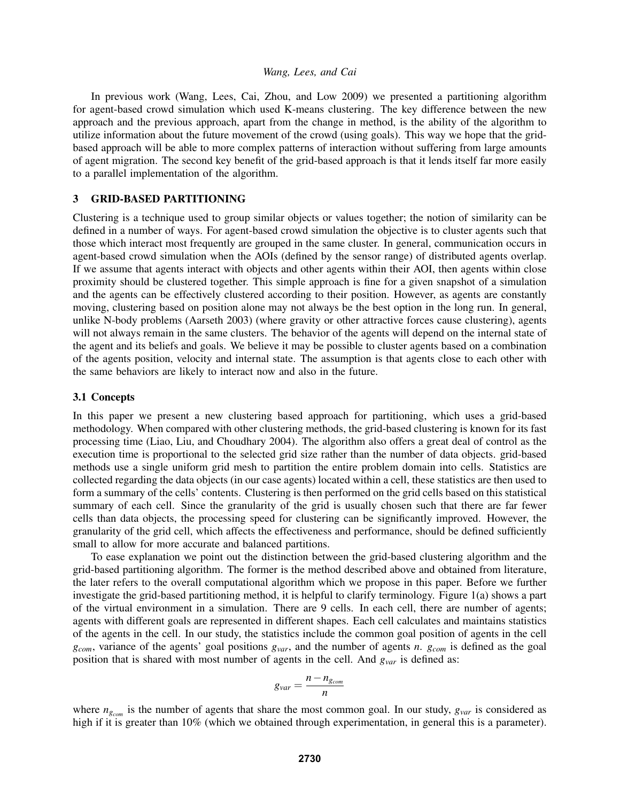In previous work (Wang, Lees, Cai, Zhou, and Low 2009) we presented a partitioning algorithm for agent-based crowd simulation which used K-means clustering. The key difference between the new approach and the previous approach, apart from the change in method, is the ability of the algorithm to utilize information about the future movement of the crowd (using goals). This way we hope that the gridbased approach will be able to more complex patterns of interaction without suffering from large amounts of agent migration. The second key benefit of the grid-based approach is that it lends itself far more easily to a parallel implementation of the algorithm.

### 3 GRID-BASED PARTITIONING

Clustering is a technique used to group similar objects or values together; the notion of similarity can be defined in a number of ways. For agent-based crowd simulation the objective is to cluster agents such that those which interact most frequently are grouped in the same cluster. In general, communication occurs in agent-based crowd simulation when the AOIs (defined by the sensor range) of distributed agents overlap. If we assume that agents interact with objects and other agents within their AOI, then agents within close proximity should be clustered together. This simple approach is fine for a given snapshot of a simulation and the agents can be effectively clustered according to their position. However, as agents are constantly moving, clustering based on position alone may not always be the best option in the long run. In general, unlike N-body problems (Aarseth 2003) (where gravity or other attractive forces cause clustering), agents will not always remain in the same clusters. The behavior of the agents will depend on the internal state of the agent and its beliefs and goals. We believe it may be possible to cluster agents based on a combination of the agents position, velocity and internal state. The assumption is that agents close to each other with the same behaviors are likely to interact now and also in the future.

### 3.1 Concepts

In this paper we present a new clustering based approach for partitioning, which uses a grid-based methodology. When compared with other clustering methods, the grid-based clustering is known for its fast processing time (Liao, Liu, and Choudhary 2004). The algorithm also offers a great deal of control as the execution time is proportional to the selected grid size rather than the number of data objects. grid-based methods use a single uniform grid mesh to partition the entire problem domain into cells. Statistics are collected regarding the data objects (in our case agents) located within a cell, these statistics are then used to form a summary of the cells' contents. Clustering is then performed on the grid cells based on this statistical summary of each cell. Since the granularity of the grid is usually chosen such that there are far fewer cells than data objects, the processing speed for clustering can be significantly improved. However, the granularity of the grid cell, which affects the effectiveness and performance, should be defined sufficiently small to allow for more accurate and balanced partitions.

To ease explanation we point out the distinction between the grid-based clustering algorithm and the grid-based partitioning algorithm. The former is the method described above and obtained from literature, the later refers to the overall computational algorithm which we propose in this paper. Before we further investigate the grid-based partitioning method, it is helpful to clarify terminology. Figure 1(a) shows a part of the virtual environment in a simulation. There are 9 cells. In each cell, there are number of agents; agents with different goals are represented in different shapes. Each cell calculates and maintains statistics of the agents in the cell. In our study, the statistics include the common goal position of agents in the cell *gcom*, variance of the agents' goal positions *gvar*, and the number of agents *n*. *gcom* is defined as the goal position that is shared with most number of agents in the cell. And *gvar* is defined as:

$$
g_{var} = \frac{n - n_{g_{com}}}{n}
$$

where  $n_{g_{com}}$  is the number of agents that share the most common goal. In our study,  $g_{var}$  is considered as high if it is greater than 10% (which we obtained through experimentation, in general this is a parameter).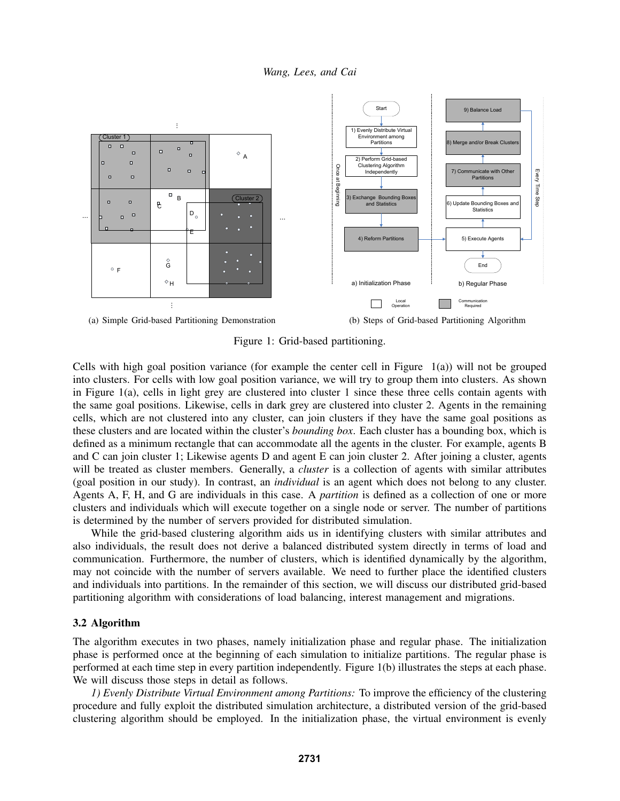

Figure 1: Grid-based partitioning.

Cells with high goal position variance (for example the center cell in Figure  $1(a)$ ) will not be grouped into clusters. For cells with low goal position variance, we will try to group them into clusters. As shown in Figure 1(a), cells in light grey are clustered into cluster 1 since these three cells contain agents with the same goal positions. Likewise, cells in dark grey are clustered into cluster 2. Agents in the remaining cells, which are not clustered into any cluster, can join clusters if they have the same goal positions as these clusters and are located within the cluster's *bounding box*. Each cluster has a bounding box, which is defined as a minimum rectangle that can accommodate all the agents in the cluster. For example, agents B and C can join cluster 1; Likewise agents D and agent E can join cluster 2. After joining a cluster, agents will be treated as cluster members. Generally, a *cluster* is a collection of agents with similar attributes (goal position in our study). In contrast, an *individual* is an agent which does not belong to any cluster. Agents A, F, H, and G are individuals in this case. A *partition* is defined as a collection of one or more clusters and individuals which will execute together on a single node or server. The number of partitions is determined by the number of servers provided for distributed simulation.

While the grid-based clustering algorithm aids us in identifying clusters with similar attributes and also individuals, the result does not derive a balanced distributed system directly in terms of load and communication. Furthermore, the number of clusters, which is identified dynamically by the algorithm, may not coincide with the number of servers available. We need to further place the identified clusters and individuals into partitions. In the remainder of this section, we will discuss our distributed grid-based partitioning algorithm with considerations of load balancing, interest management and migrations.

## 3.2 Algorithm

The algorithm executes in two phases, namely initialization phase and regular phase. The initialization phase is performed once at the beginning of each simulation to initialize partitions. The regular phase is performed at each time step in every partition independently. Figure 1(b) illustrates the steps at each phase. We will discuss those steps in detail as follows.

*1) Evenly Distribute Virtual Environment among Partitions:* To improve the efficiency of the clustering procedure and fully exploit the distributed simulation architecture, a distributed version of the grid-based clustering algorithm should be employed. In the initialization phase, the virtual environment is evenly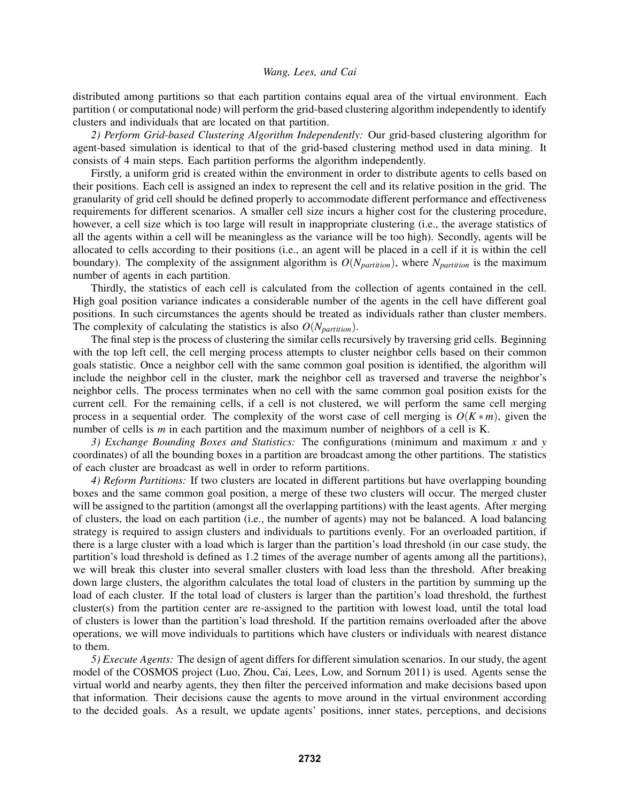distributed among partitions so that each partition contains equal area of the virtual environment. Each partition ( or computational node) will perform the grid-based clustering algorithm independently to identify clusters and individuals that are located on that partition.

*2) Perform Grid-based Clustering Algorithm Independently:* Our grid-based clustering algorithm for agent-based simulation is identical to that of the grid-based clustering method used in data mining. It consists of 4 main steps. Each partition performs the algorithm independently.

Firstly, a uniform grid is created within the environment in order to distribute agents to cells based on their positions. Each cell is assigned an index to represent the cell and its relative position in the grid. The granularity of grid cell should be defined properly to accommodate different performance and effectiveness requirements for different scenarios. A smaller cell size incurs a higher cost for the clustering procedure, however, a cell size which is too large will result in inappropriate clustering (i.e., the average statistics of all the agents within a cell will be meaningless as the variance will be too high). Secondly, agents will be allocated to cells according to their positions (i.e., an agent will be placed in a cell if it is within the cell boundary). The complexity of the assignment algorithm is  $O(N_{partition})$ , where  $N_{partition}$  is the maximum number of agents in each partition.

Thirdly, the statistics of each cell is calculated from the collection of agents contained in the cell. High goal position variance indicates a considerable number of the agents in the cell have different goal positions. In such circumstances the agents should be treated as individuals rather than cluster members. The complexity of calculating the statistics is also  $O(N_{partition})$ .

The final step is the process of clustering the similar cells recursively by traversing grid cells. Beginning with the top left cell, the cell merging process attempts to cluster neighbor cells based on their common goals statistic. Once a neighbor cell with the same common goal position is identified, the algorithm will include the neighbor cell in the cluster, mark the neighbor cell as traversed and traverse the neighbor's neighbor cells. The process terminates when no cell with the same common goal position exists for the current cell. For the remaining cells, if a cell is not clustered, we will perform the same cell merging process in a sequential order. The complexity of the worst case of cell merging is  $O(K*m)$ , given the number of cells is *m* in each partition and the maximum number of neighbors of a cell is K.

*3) Exchange Bounding Boxes and Statistics:* The configurations (minimum and maximum *x* and *y* coordinates) of all the bounding boxes in a partition are broadcast among the other partitions. The statistics of each cluster are broadcast as well in order to reform partitions.

*4) Reform Partitions:* If two clusters are located in different partitions but have overlapping bounding boxes and the same common goal position, a merge of these two clusters will occur. The merged cluster will be assigned to the partition (amongst all the overlapping partitions) with the least agents. After merging of clusters, the load on each partition (i.e., the number of agents) may not be balanced. A load balancing strategy is required to assign clusters and individuals to partitions evenly. For an overloaded partition, if there is a large cluster with a load which is larger than the partition's load threshold (in our case study, the partition's load threshold is defined as 1.2 times of the average number of agents among all the partitions), we will break this cluster into several smaller clusters with load less than the threshold. After breaking down large clusters, the algorithm calculates the total load of clusters in the partition by summing up the load of each cluster. If the total load of clusters is larger than the partition's load threshold, the furthest cluster(s) from the partition center are re-assigned to the partition with lowest load, until the total load of clusters is lower than the partition's load threshold. If the partition remains overloaded after the above operations, we will move individuals to partitions which have clusters or individuals with nearest distance to them.

*5) Execute Agents:* The design of agent differs for different simulation scenarios. In our study, the agent model of the COSMOS project (Luo, Zhou, Cai, Lees, Low, and Sornum 2011) is used. Agents sense the virtual world and nearby agents, they then filter the perceived information and make decisions based upon that information. Their decisions cause the agents to move around in the virtual environment according to the decided goals. As a result, we update agents' positions, inner states, perceptions, and decisions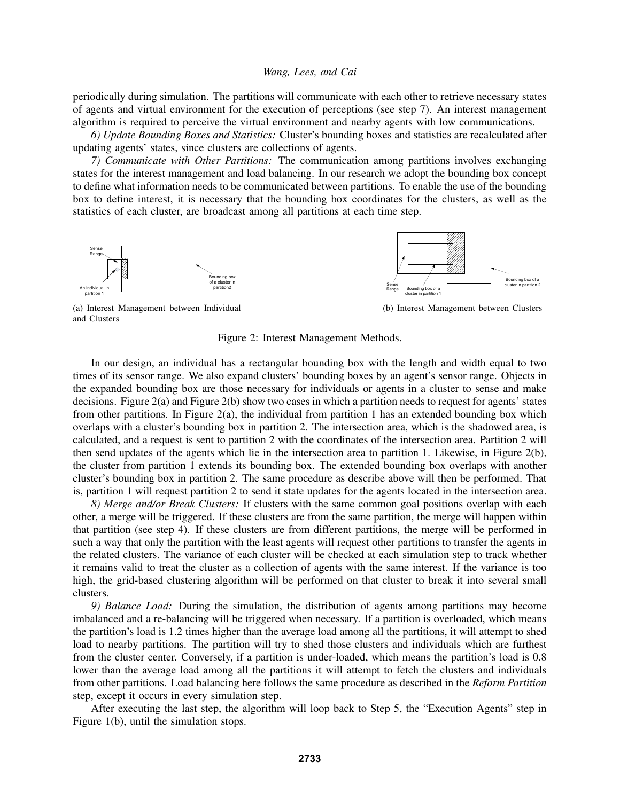periodically during simulation. The partitions will communicate with each other to retrieve necessary states of agents and virtual environment for the execution of perceptions (see step 7). An interest management algorithm is required to perceive the virtual environment and nearby agents with low communications.

*6) Update Bounding Boxes and Statistics:* Cluster's bounding boxes and statistics are recalculated after updating agents' states, since clusters are collections of agents.

*7) Communicate with Other Partitions:* The communication among partitions involves exchanging states for the interest management and load balancing. In our research we adopt the bounding box concept to define what information needs to be communicated between partitions. To enable the use of the bounding box to define interest, it is necessary that the bounding box coordinates for the clusters, as well as the statistics of each cluster, are broadcast among all partitions at each time step.



(a) Interest Management between Individual and Clusters

(b) Interest Management between Clusters

#### Figure 2: Interest Management Methods.

In our design, an individual has a rectangular bounding box with the length and width equal to two times of its sensor range. We also expand clusters' bounding boxes by an agent's sensor range. Objects in the expanded bounding box are those necessary for individuals or agents in a cluster to sense and make decisions. Figure 2(a) and Figure 2(b) show two cases in which a partition needs to request for agents' states from other partitions. In Figure 2(a), the individual from partition 1 has an extended bounding box which overlaps with a cluster's bounding box in partition 2. The intersection area, which is the shadowed area, is calculated, and a request is sent to partition 2 with the coordinates of the intersection area. Partition 2 will then send updates of the agents which lie in the intersection area to partition 1. Likewise, in Figure 2(b), the cluster from partition 1 extends its bounding box. The extended bounding box overlaps with another cluster's bounding box in partition 2. The same procedure as describe above will then be performed. That is, partition 1 will request partition 2 to send it state updates for the agents located in the intersection area.

*8) Merge and/or Break Clusters:* If clusters with the same common goal positions overlap with each other, a merge will be triggered. If these clusters are from the same partition, the merge will happen within that partition (see step 4). If these clusters are from different partitions, the merge will be performed in such a way that only the partition with the least agents will request other partitions to transfer the agents in the related clusters. The variance of each cluster will be checked at each simulation step to track whether it remains valid to treat the cluster as a collection of agents with the same interest. If the variance is too high, the grid-based clustering algorithm will be performed on that cluster to break it into several small clusters.

*9) Balance Load:* During the simulation, the distribution of agents among partitions may become imbalanced and a re-balancing will be triggered when necessary. If a partition is overloaded, which means the partition's load is 1.2 times higher than the average load among all the partitions, it will attempt to shed load to nearby partitions. The partition will try to shed those clusters and individuals which are furthest from the cluster center. Conversely, if a partition is under-loaded, which means the partition's load is 0.8 lower than the average load among all the partitions it will attempt to fetch the clusters and individuals from other partitions. Load balancing here follows the same procedure as described in the *Reform Partition* step, except it occurs in every simulation step.

After executing the last step, the algorithm will loop back to Step 5, the "Execution Agents" step in Figure 1(b), until the simulation stops.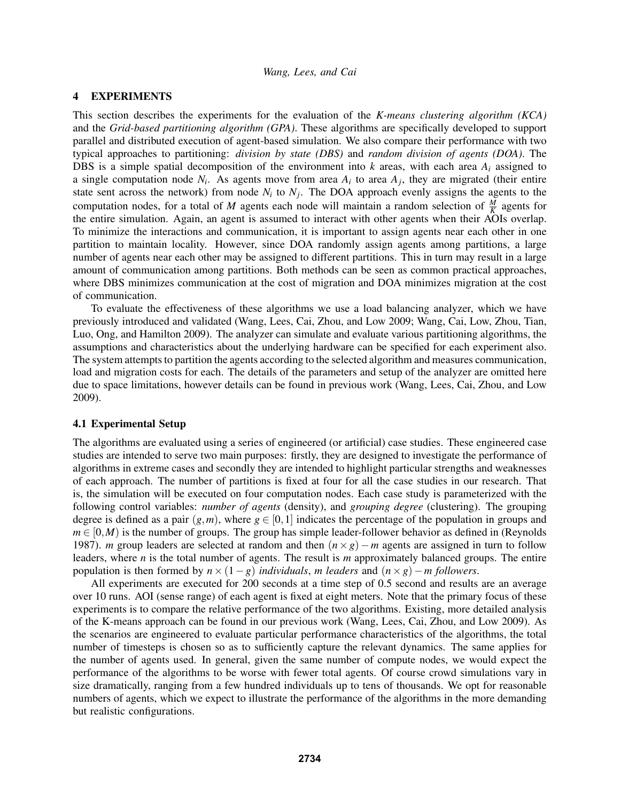### 4 EXPERIMENTS

This section describes the experiments for the evaluation of the *K-means clustering algorithm (KCA)* and the *Grid-based partitioning algorithm (GPA)*. These algorithms are specifically developed to support parallel and distributed execution of agent-based simulation. We also compare their performance with two typical approaches to partitioning: *division by state (DBS)* and *random division of agents (DOA)*. The DBS is a simple spatial decomposition of the environment into  $k$  areas, with each area  $A_i$  assigned to a single computation node  $N_i$ . As agents move from area  $A_i$  to area  $A_j$ , they are migrated (their entire state sent across the network) from node  $N_i$  to  $N_j$ . The DOA approach evenly assigns the agents to the computation nodes, for a total of *M* agents each node will maintain a random selection of  $\frac{M}{K}$  agents for the entire simulation. Again, an agent is assumed to interact with other agents when their AOIs overlap. To minimize the interactions and communication, it is important to assign agents near each other in one partition to maintain locality. However, since DOA randomly assign agents among partitions, a large number of agents near each other may be assigned to different partitions. This in turn may result in a large amount of communication among partitions. Both methods can be seen as common practical approaches, where DBS minimizes communication at the cost of migration and DOA minimizes migration at the cost of communication.

To evaluate the effectiveness of these algorithms we use a load balancing analyzer, which we have previously introduced and validated (Wang, Lees, Cai, Zhou, and Low 2009; Wang, Cai, Low, Zhou, Tian, Luo, Ong, and Hamilton 2009). The analyzer can simulate and evaluate various partitioning algorithms, the assumptions and characteristics about the underlying hardware can be specified for each experiment also. The system attempts to partition the agents according to the selected algorithm and measures communication, load and migration costs for each. The details of the parameters and setup of the analyzer are omitted here due to space limitations, however details can be found in previous work (Wang, Lees, Cai, Zhou, and Low 2009).

#### 4.1 Experimental Setup

The algorithms are evaluated using a series of engineered (or artificial) case studies. These engineered case studies are intended to serve two main purposes: firstly, they are designed to investigate the performance of algorithms in extreme cases and secondly they are intended to highlight particular strengths and weaknesses of each approach. The number of partitions is fixed at four for all the case studies in our research. That is, the simulation will be executed on four computation nodes. Each case study is parameterized with the following control variables: *number of agents* (density), and *grouping degree* (clustering). The grouping degree is defined as a pair  $(g,m)$ , where  $g \in [0,1]$  indicates the percentage of the population in groups and  $m \in [0,M)$  is the number of groups. The group has simple leader-follower behavior as defined in (Reynolds) 1987). *m* group leaders are selected at random and then (*n*×*g*)−*m* agents are assigned in turn to follow leaders, where *n* is the total number of agents. The result is *m* approximately balanced groups. The entire population is then formed by  $n \times (1-q)$  *individuals*, *m leaders* and  $(n \times g)$  − *m followers*.

All experiments are executed for 200 seconds at a time step of 0.5 second and results are an average over 10 runs. AOI (sense range) of each agent is fixed at eight meters. Note that the primary focus of these experiments is to compare the relative performance of the two algorithms. Existing, more detailed analysis of the K-means approach can be found in our previous work (Wang, Lees, Cai, Zhou, and Low 2009). As the scenarios are engineered to evaluate particular performance characteristics of the algorithms, the total number of timesteps is chosen so as to sufficiently capture the relevant dynamics. The same applies for the number of agents used. In general, given the same number of compute nodes, we would expect the performance of the algorithms to be worse with fewer total agents. Of course crowd simulations vary in size dramatically, ranging from a few hundred individuals up to tens of thousands. We opt for reasonable numbers of agents, which we expect to illustrate the performance of the algorithms in the more demanding but realistic configurations.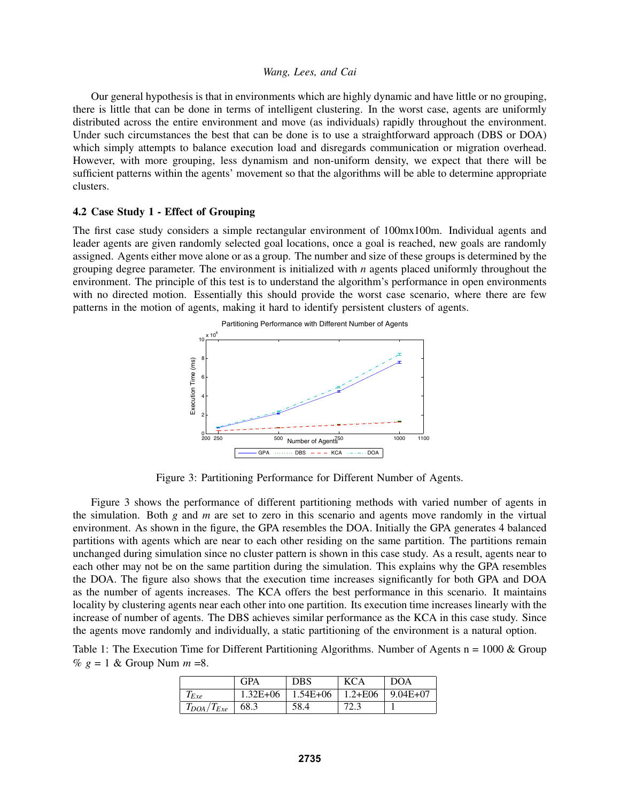Our general hypothesis is that in environments which are highly dynamic and have little or no grouping, there is little that can be done in terms of intelligent clustering. In the worst case, agents are uniformly distributed across the entire environment and move (as individuals) rapidly throughout the environment. Under such circumstances the best that can be done is to use a straightforward approach (DBS or DOA) which simply attempts to balance execution load and disregards communication or migration overhead. However, with more grouping, less dynamism and non-uniform density, we expect that there will be sufficient patterns within the agents' movement so that the algorithms will be able to determine appropriate clusters.

# 4.2 Case Study 1 - Effect of Grouping

The first case study considers a simple rectangular environment of 100mx100m. Individual agents and leader agents are given randomly selected goal locations, once a goal is reached, new goals are randomly assigned. Agents either move alone or as a group. The number and size of these groups is determined by the grouping degree parameter. The environment is initialized with *n* agents placed uniformly throughout the environment. The principle of this test is to understand the algorithm's performance in open environments with no directed motion. Essentially this should provide the worst case scenario, where there are few patterns in the motion of agents, making it hard to identify persistent clusters of agents.



Figure 3: Partitioning Performance for Different Number of Agents.

Figure 3 shows the performance of different partitioning methods with varied number of agents in the simulation. Both *g* and *m* are set to zero in this scenario and agents move randomly in the virtual environment. As shown in the figure, the GPA resembles the DOA. Initially the GPA generates 4 balanced partitions with agents which are near to each other residing on the same partition. The partitions remain unchanged during simulation since no cluster pattern is shown in this case study. As a result, agents near to each other may not be on the same partition during the simulation. This explains why the GPA resembles the DOA. The figure also shows that the execution time increases significantly for both GPA and DOA as the number of agents increases. The KCA offers the best performance in this scenario. It maintains locality by clustering agents near each other into one partition. Its execution time increases linearly with the increase of number of agents. The DBS achieves similar performance as the KCA in this case study. Since the agents move randomly and individually, a static partitioning of the environment is a natural option.

Table 1: The Execution Time for Different Partitioning Algorithms. Number of Agents  $n = 1000 \&$  Group %  $g = 1$  & Group Num  $m = 8$ .

|                   | GPA          | <b>DBS</b>   |             | DOA          |
|-------------------|--------------|--------------|-------------|--------------|
| $I_{Exe}$         | $1.32E + 06$ | $1.54E + 06$ | $1.2 + E06$ | $9.04E + 07$ |
| $T_{DOA}/T_{Exe}$ | 68.3         | 58.4         | 72.3        |              |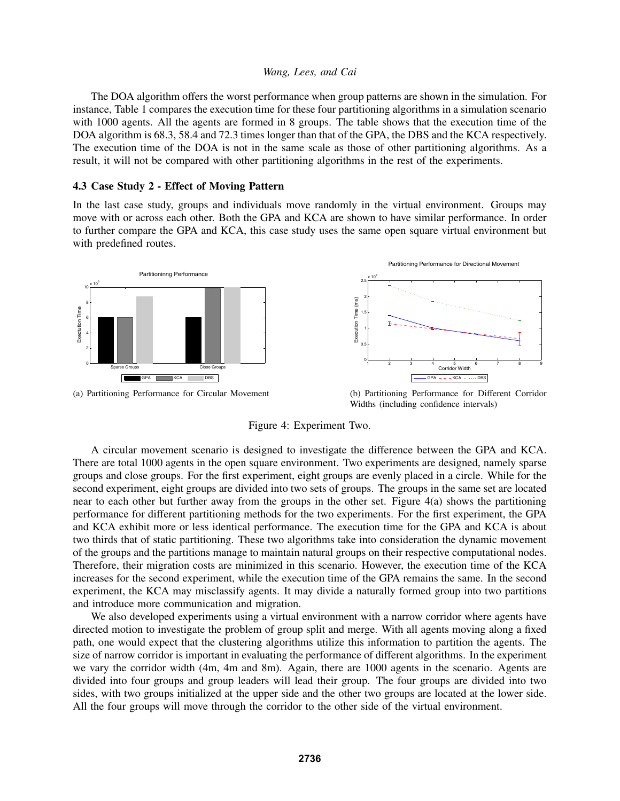The DOA algorithm offers the worst performance when group patterns are shown in the simulation. For instance, Table 1 compares the execution time for these four partitioning algorithms in a simulation scenario with 1000 agents. All the agents are formed in 8 groups. The table shows that the execution time of the DOA algorithm is 68.3, 58.4 and 72.3 times longer than that of the GPA, the DBS and the KCA respectively. The execution time of the DOA is not in the same scale as those of other partitioning algorithms. As a result, it will not be compared with other partitioning algorithms in the rest of the experiments.

#### 4.3 Case Study 2 - Effect of Moving Pattern

In the last case study, groups and individuals move randomly in the virtual environment. Groups may move with or across each other. Both the GPA and KCA are shown to have similar performance. In order to further compare the GPA and KCA, this case study uses the same open square virtual environment but with predefined routes.



Widths (including confidence intervals)

#### Figure 4: Experiment Two.

A circular movement scenario is designed to investigate the difference between the GPA and KCA. There are total 1000 agents in the open square environment. Two experiments are designed, namely sparse groups and close groups. For the first experiment, eight groups are evenly placed in a circle. While for the second experiment, eight groups are divided into two sets of groups. The groups in the same set are located near to each other but further away from the groups in the other set. Figure 4(a) shows the partitioning performance for different partitioning methods for the two experiments. For the first experiment, the GPA and KCA exhibit more or less identical performance. The execution time for the GPA and KCA is about two thirds that of static partitioning. These two algorithms take into consideration the dynamic movement of the groups and the partitions manage to maintain natural groups on their respective computational nodes. Therefore, their migration costs are minimized in this scenario. However, the execution time of the KCA increases for the second experiment, while the execution time of the GPA remains the same. In the second experiment, the KCA may misclassify agents. It may divide a naturally formed group into two partitions and introduce more communication and migration.

We also developed experiments using a virtual environment with a narrow corridor where agents have directed motion to investigate the problem of group split and merge. With all agents moving along a fixed path, one would expect that the clustering algorithms utilize this information to partition the agents. The size of narrow corridor is important in evaluating the performance of different algorithms. In the experiment we vary the corridor width (4m, 4m and 8m). Again, there are 1000 agents in the scenario. Agents are divided into four groups and group leaders will lead their group. The four groups are divided into two sides, with two groups initialized at the upper side and the other two groups are located at the lower side. All the four groups will move through the corridor to the other side of the virtual environment.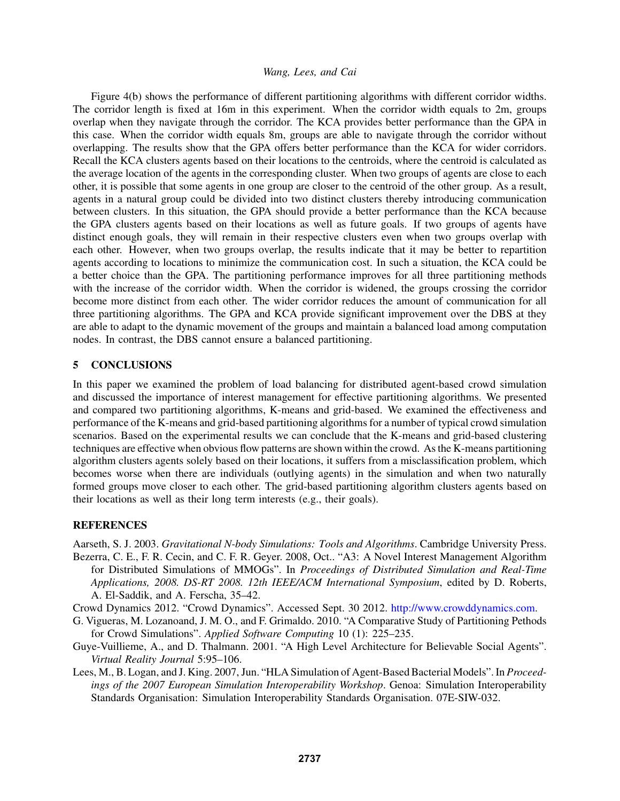Figure 4(b) shows the performance of different partitioning algorithms with different corridor widths. The corridor length is fixed at 16m in this experiment. When the corridor width equals to 2m, groups overlap when they navigate through the corridor. The KCA provides better performance than the GPA in this case. When the corridor width equals 8m, groups are able to navigate through the corridor without overlapping. The results show that the GPA offers better performance than the KCA for wider corridors. Recall the KCA clusters agents based on their locations to the centroids, where the centroid is calculated as the average location of the agents in the corresponding cluster. When two groups of agents are close to each other, it is possible that some agents in one group are closer to the centroid of the other group. As a result, agents in a natural group could be divided into two distinct clusters thereby introducing communication between clusters. In this situation, the GPA should provide a better performance than the KCA because the GPA clusters agents based on their locations as well as future goals. If two groups of agents have distinct enough goals, they will remain in their respective clusters even when two groups overlap with each other. However, when two groups overlap, the results indicate that it may be better to repartition agents according to locations to minimize the communication cost. In such a situation, the KCA could be a better choice than the GPA. The partitioning performance improves for all three partitioning methods with the increase of the corridor width. When the corridor is widened, the groups crossing the corridor become more distinct from each other. The wider corridor reduces the amount of communication for all three partitioning algorithms. The GPA and KCA provide significant improvement over the DBS at they are able to adapt to the dynamic movement of the groups and maintain a balanced load among computation nodes. In contrast, the DBS cannot ensure a balanced partitioning.

## 5 CONCLUSIONS

In this paper we examined the problem of load balancing for distributed agent-based crowd simulation and discussed the importance of interest management for effective partitioning algorithms. We presented and compared two partitioning algorithms, K-means and grid-based. We examined the effectiveness and performance of the K-means and grid-based partitioning algorithms for a number of typical crowd simulation scenarios. Based on the experimental results we can conclude that the K-means and grid-based clustering techniques are effective when obvious flow patterns are shown within the crowd. As the K-means partitioning algorithm clusters agents solely based on their locations, it suffers from a misclassification problem, which becomes worse when there are individuals (outlying agents) in the simulation and when two naturally formed groups move closer to each other. The grid-based partitioning algorithm clusters agents based on their locations as well as their long term interests (e.g., their goals).

## **REFERENCES**

Aarseth, S. J. 2003. *Gravitational N-body Simulations: Tools and Algorithms*. Cambridge University Press.

- Bezerra, C. E., F. R. Cecin, and C. F. R. Geyer. 2008, Oct.. "A3: A Novel Interest Management Algorithm for Distributed Simulations of MMOGs". In *Proceedings of Distributed Simulation and Real-Time Applications, 2008. DS-RT 2008. 12th IEEE/ACM International Symposium*, edited by D. Roberts, A. El-Saddik, and A. Ferscha, 35–42.
- Crowd Dynamics 2012. "Crowd Dynamics". Accessed Sept. 30 2012. http://www.crowddynamics.com.
- G. Vigueras, M. Lozanoand, J. M. O., and F. Grimaldo. 2010. "A Comparative Study of Partitioning Pethods for Crowd Simulations". *Applied Software Computing* 10 (1): 225–235.
- Guye-Vuillieme, A., and D. Thalmann. 2001. "A High Level Architecture for Believable Social Agents". *Virtual Reality Journal* 5:95–106.
- Lees, M., B. Logan, and J. King. 2007, Jun. "HLA Simulation of Agent-Based Bacterial Models". In *Proceedings of the 2007 European Simulation Interoperability Workshop*. Genoa: Simulation Interoperability Standards Organisation: Simulation Interoperability Standards Organisation. 07E-SIW-032.